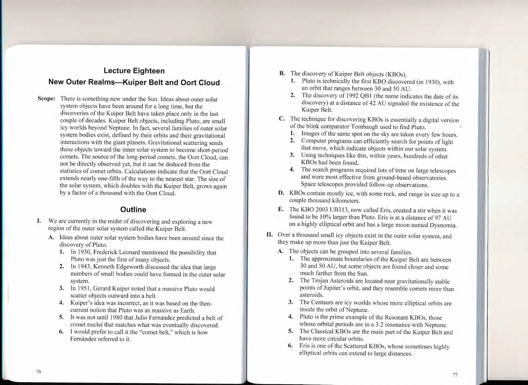## Lecture Eighteen New Outer Realms-Kuiper Belt and Oort Cloud

Scope: There is something new under the Sun. Ideas about outer solar system objects have been around for a long time, but the discoveries of the Kuiper Belt have taken piace only in the last couple of decades. Kuiper Belt objects, inciuding pluto, are small icy worlds beyond Neptune. In fact, several famiiies of outer solar system bodies exist, deflned by their orbits and their gravitational interactions with the giant pianets. Gravitational scattering sends these objects toward the irmer solar system to become short-period comets. The source of the long-period comets, the Oort Cloud, can not be directly obserued yet, but it can be deduced from the statistics of comet orbits. Calculations indicate that the Oort Cloud extends nearly one-fifth of the way to the nearest star. The size of the solar system, which doubles with the Kuiper Belt, grows again by a factor of a thousand with the Oort Cloud.

## **Outline**

- We are currently in the midst of discovering and exploring a new region of the outer solar system called the Kuiper Belt.
	- A. Ideas about outer solar system bodies have been around since the discovery of Pluto.
		- 1. In 1930, Frederick Leonard mentioned the possibility that Pluto was just the first of many objects.
		- 2. In 1943, Kenneth Edgeworth discussed the idea that large numbers of small bodies could have formed in the outer solar system.
		- 3. In i951, Gerard Kuiper noted that a massive pluto would scatter objects outward into a belt.<br>4. Kuiper's idea was incorrect, as it was based on the then-
		- current notion that Pluto was as massive as Earth.
		- 5. It was not until 1980 that Julio Fernández predicted a belt of comet nuclei that matches what was eventually discovered. 6. I would prefer to call it the "comet belt," which is how
		- Fernández referred to it.
- 
- **B.** The discovery of Kuiper Belt objects (KBOs).<br> **1.** Pluto is technically the first KBO discovered (in 1930), with<br>
an orbit that ranges between 30 and 50 AU.
	- 2. The discovery of 1992 QB1 (the name indicates the date of its discovery) at a distance of 42 AU signaled the existence of the Kuiper Belt.
- C. The technique for discovering KBOs is essentially a digital version of the blink comparator Tombaugh used to find Pluto.
	-
	- 1. Images of the same spot on the sky are taken every few hours.<br>2. Computer programs can efficiently search for points of light that move, which indicate objects within our solar system.
	- 3. Using techniques like this, within years, hundreds of other KBOs had been found.
	- 4. The search programs required lots of time on large telescopes and were most effective from ground-based observatories. Space telescopes provided follow-up observations.
- **D.** KBOs contain mostly ice, with some rock, and range in size up to a couple thousand kilometers.
- E. The KBO 2003 UB313, now called Eris, created a stir when it was found to be 10% larger than Pluto. Eris is at a distance of 97 AU on a highly elliptical orbit and has a large moon named Dysnomia.
- II. Over a thousand small icy objects exist in the outer solar system, and they make up more than just the Kuiper Belt.
	-
	- A. The objects can be grouped into several families.<br>1. The approximate boundaries of the Kuiper Belt are between 30 and 50 AU, but some objects are found closer and some much farther from the Sun.
		- 2. The Trojan Asteroids are located near gravitationally stable points of Jupiter's orbit, and they resemble comets more than asteroids.
		- 3. The Centaurs are icy worlds whose more elliptical orbits are inside the orbit of Neptune.
		- 4. Pluto is the prime example of the Resonant KBOs, those whose orbital periods are in a 3:2 resonance with Neptune.
		- 5. The Classical KBOs are the main part of the Kuiper Belt and have more circular orbits.
		- 6. Eris is one of the Scattered KBOs, whose sometimes highly elliptical orbits can extend to large distances.